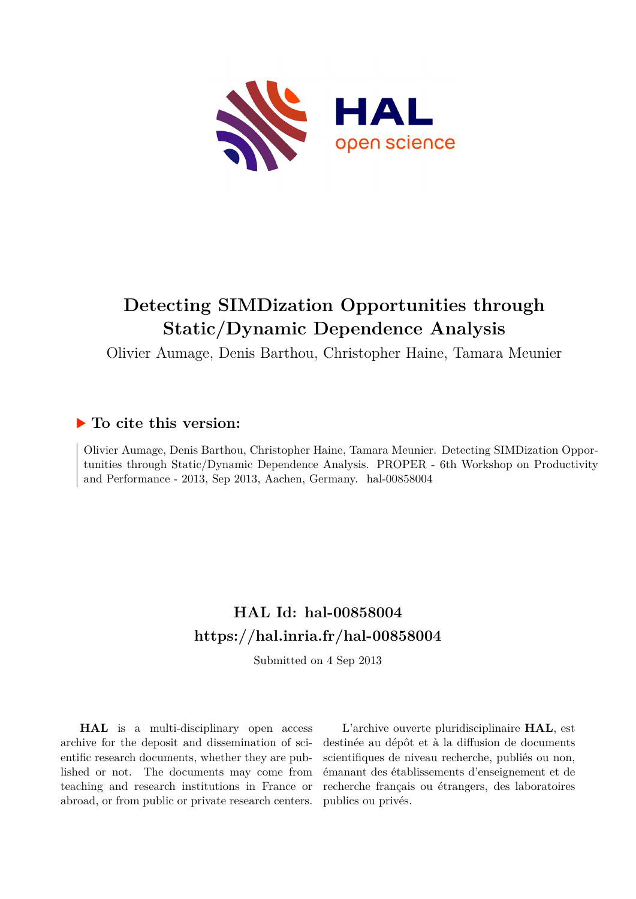

# **Detecting SIMDization Opportunities through Static/Dynamic Dependence Analysis**

Olivier Aumage, Denis Barthou, Christopher Haine, Tamara Meunier

# **To cite this version:**

Olivier Aumage, Denis Barthou, Christopher Haine, Tamara Meunier. Detecting SIMDization Opportunities through Static/Dynamic Dependence Analysis. PROPER - 6th Workshop on Productivity and Performance - 2013, Sep 2013, Aachen, Germany. hal-00858004

# **HAL Id: hal-00858004 <https://hal.inria.fr/hal-00858004>**

Submitted on 4 Sep 2013

**HAL** is a multi-disciplinary open access archive for the deposit and dissemination of scientific research documents, whether they are published or not. The documents may come from teaching and research institutions in France or abroad, or from public or private research centers.

L'archive ouverte pluridisciplinaire **HAL**, est destinée au dépôt et à la diffusion de documents scientifiques de niveau recherche, publiés ou non, émanant des établissements d'enseignement et de recherche français ou étrangers, des laboratoires publics ou privés.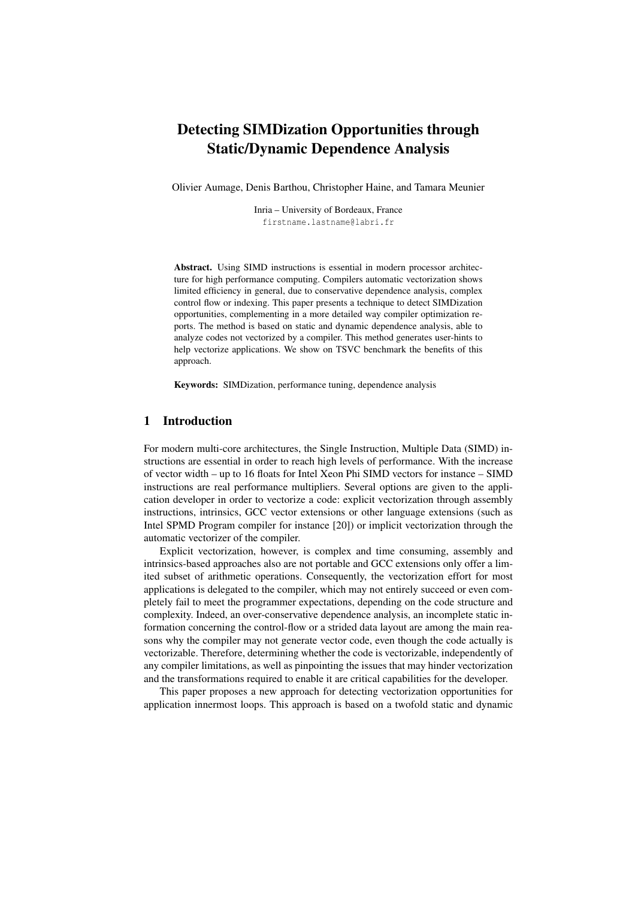# Detecting SIMDization Opportunities through Static/Dynamic Dependence Analysis

Olivier Aumage, Denis Barthou, Christopher Haine, and Tamara Meunier

Inria – University of Bordeaux, France firstname.lastname@labri.fr

Abstract. Using SIMD instructions is essential in modern processor architecture for high performance computing. Compilers automatic vectorization shows limited efficiency in general, due to conservative dependence analysis, complex control flow or indexing. This paper presents a technique to detect SIMDization opportunities, complementing in a more detailed way compiler optimization reports. The method is based on static and dynamic dependence analysis, able to analyze codes not vectorized by a compiler. This method generates user-hints to help vectorize applications. We show on TSVC benchmark the benefits of this approach.

Keywords: SIMDization, performance tuning, dependence analysis

### 1 Introduction

For modern multi-core architectures, the Single Instruction, Multiple Data (SIMD) instructions are essential in order to reach high levels of performance. With the increase of vector width – up to 16 floats for Intel Xeon Phi SIMD vectors for instance – SIMD instructions are real performance multipliers. Several options are given to the application developer in order to vectorize a code: explicit vectorization through assembly instructions, intrinsics, GCC vector extensions or other language extensions (such as Intel SPMD Program compiler for instance [20]) or implicit vectorization through the automatic vectorizer of the compiler.

Explicit vectorization, however, is complex and time consuming, assembly and intrinsics-based approaches also are not portable and GCC extensions only offer a limited subset of arithmetic operations. Consequently, the vectorization effort for most applications is delegated to the compiler, which may not entirely succeed or even completely fail to meet the programmer expectations, depending on the code structure and complexity. Indeed, an over-conservative dependence analysis, an incomplete static information concerning the control-flow or a strided data layout are among the main reasons why the compiler may not generate vector code, even though the code actually is vectorizable. Therefore, determining whether the code is vectorizable, independently of any compiler limitations, as well as pinpointing the issues that may hinder vectorization and the transformations required to enable it are critical capabilities for the developer.

This paper proposes a new approach for detecting vectorization opportunities for application innermost loops. This approach is based on a twofold static and dynamic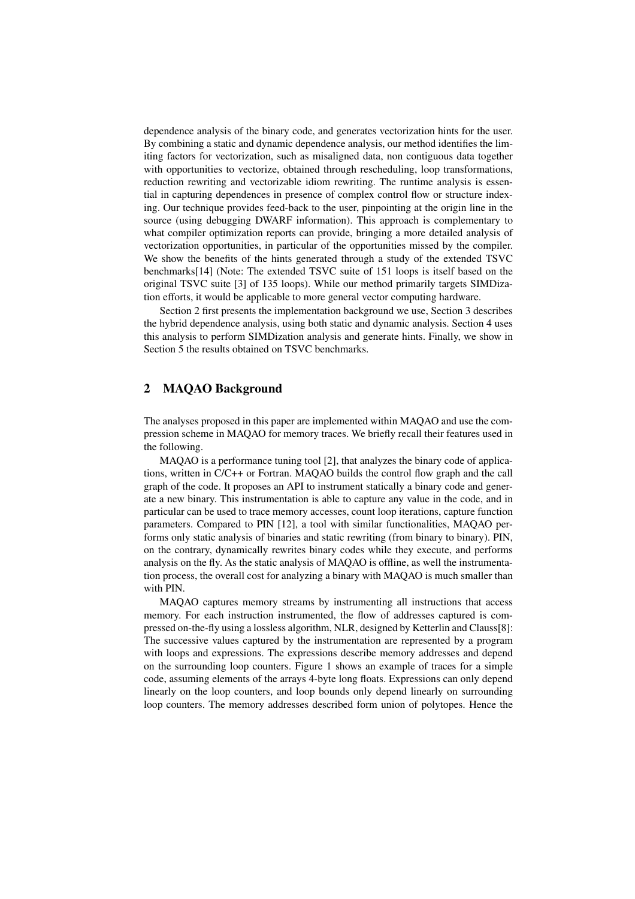dependence analysis of the binary code, and generates vectorization hints for the user. By combining a static and dynamic dependence analysis, our method identifies the limiting factors for vectorization, such as misaligned data, non contiguous data together with opportunities to vectorize, obtained through rescheduling, loop transformations, reduction rewriting and vectorizable idiom rewriting. The runtime analysis is essential in capturing dependences in presence of complex control flow or structure indexing. Our technique provides feed-back to the user, pinpointing at the origin line in the source (using debugging DWARF information). This approach is complementary to what compiler optimization reports can provide, bringing a more detailed analysis of vectorization opportunities, in particular of the opportunities missed by the compiler. We show the benefits of the hints generated through a study of the extended TSVC benchmarks[14] (Note: The extended TSVC suite of 151 loops is itself based on the original TSVC suite [3] of 135 loops). While our method primarily targets SIMDization efforts, it would be applicable to more general vector computing hardware.

Section 2 first presents the implementation background we use, Section 3 describes the hybrid dependence analysis, using both static and dynamic analysis. Section 4 uses this analysis to perform SIMDization analysis and generate hints. Finally, we show in Section 5 the results obtained on TSVC benchmarks.

#### 2 MAQAO Background

The analyses proposed in this paper are implemented within MAQAO and use the compression scheme in MAQAO for memory traces. We briefly recall their features used in the following.

MAQAO is a performance tuning tool [2], that analyzes the binary code of applications, written in C/C++ or Fortran. MAQAO builds the control flow graph and the call graph of the code. It proposes an API to instrument statically a binary code and generate a new binary. This instrumentation is able to capture any value in the code, and in particular can be used to trace memory accesses, count loop iterations, capture function parameters. Compared to PIN [12], a tool with similar functionalities, MAQAO performs only static analysis of binaries and static rewriting (from binary to binary). PIN, on the contrary, dynamically rewrites binary codes while they execute, and performs analysis on the fly. As the static analysis of MAQAO is offline, as well the instrumentation process, the overall cost for analyzing a binary with MAQAO is much smaller than with PIN.

MAQAO captures memory streams by instrumenting all instructions that access memory. For each instruction instrumented, the flow of addresses captured is compressed on-the-fly using a lossless algorithm, NLR, designed by Ketterlin and Clauss[8]: The successive values captured by the instrumentation are represented by a program with loops and expressions. The expressions describe memory addresses and depend on the surrounding loop counters. Figure 1 shows an example of traces for a simple code, assuming elements of the arrays 4-byte long floats. Expressions can only depend linearly on the loop counters, and loop bounds only depend linearly on surrounding loop counters. The memory addresses described form union of polytopes. Hence the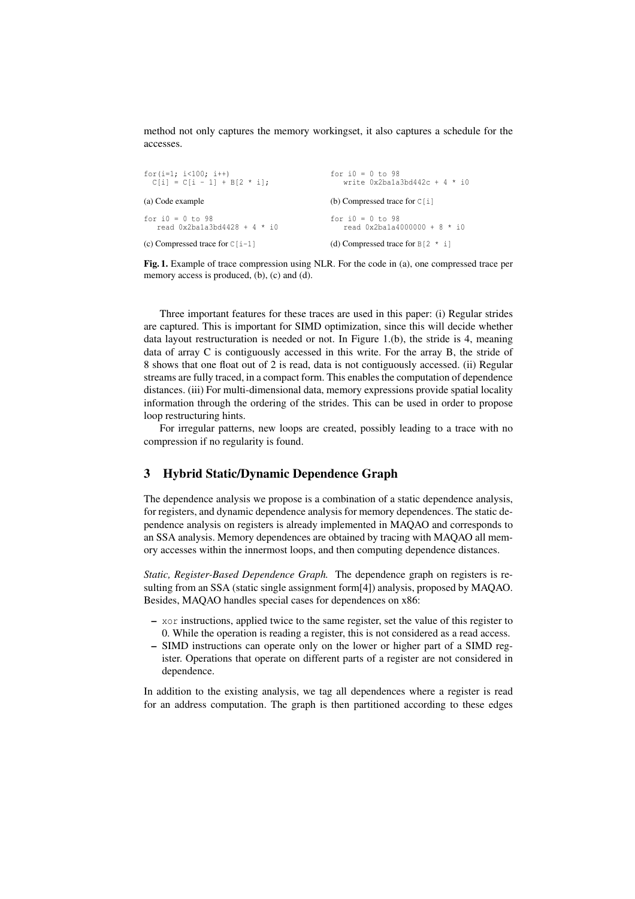method not only captures the memory workingset, it also captures a schedule for the accesses.

```
for(i=1; i<100; i++)<br>
C[i] = C[i - 1] + B[2 * i];(a) Code example
for i0 = 0 to 98
   read 0x2ba1a3bd4428 + 4 * i0
(c) Compressed trace for C[i-1]for i0 = 0 to 98
                                                     write 0x2ba1a3bd442c + 4 * i0
                                                  (b) Compressed trace for C[i]for i0 = 0 to 98
                                                     read 0x2ba1a4000000 + 8 * i0
                                                 (d) Compressed trace for B[2 \times i]
```
Fig. 1. Example of trace compression using NLR. For the code in (a), one compressed trace per memory access is produced, (b), (c) and (d).

Three important features for these traces are used in this paper: (i) Regular strides are captured. This is important for SIMD optimization, since this will decide whether data layout restructuration is needed or not. In Figure 1.(b), the stride is 4, meaning data of array C is contiguously accessed in this write. For the array B, the stride of 8 shows that one float out of 2 is read, data is not contiguously accessed. (ii) Regular streams are fully traced, in a compact form. This enables the computation of dependence distances. (iii) For multi-dimensional data, memory expressions provide spatial locality information through the ordering of the strides. This can be used in order to propose loop restructuring hints.

For irregular patterns, new loops are created, possibly leading to a trace with no compression if no regularity is found.

# 3 Hybrid Static/Dynamic Dependence Graph

The dependence analysis we propose is a combination of a static dependence analysis, for registers, and dynamic dependence analysis for memory dependences. The static dependence analysis on registers is already implemented in MAQAO and corresponds to an SSA analysis. Memory dependences are obtained by tracing with MAQAO all memory accesses within the innermost loops, and then computing dependence distances.

*Static, Register-Based Dependence Graph.* The dependence graph on registers is resulting from an SSA (static single assignment form[4]) analysis, proposed by MAQAO. Besides, MAQAO handles special cases for dependences on x86:

- xor instructions, applied twice to the same register, set the value of this register to 0. While the operation is reading a register, this is not considered as a read access.
- SIMD instructions can operate only on the lower or higher part of a SIMD register. Operations that operate on different parts of a register are not considered in dependence.

In addition to the existing analysis, we tag all dependences where a register is read for an address computation. The graph is then partitioned according to these edges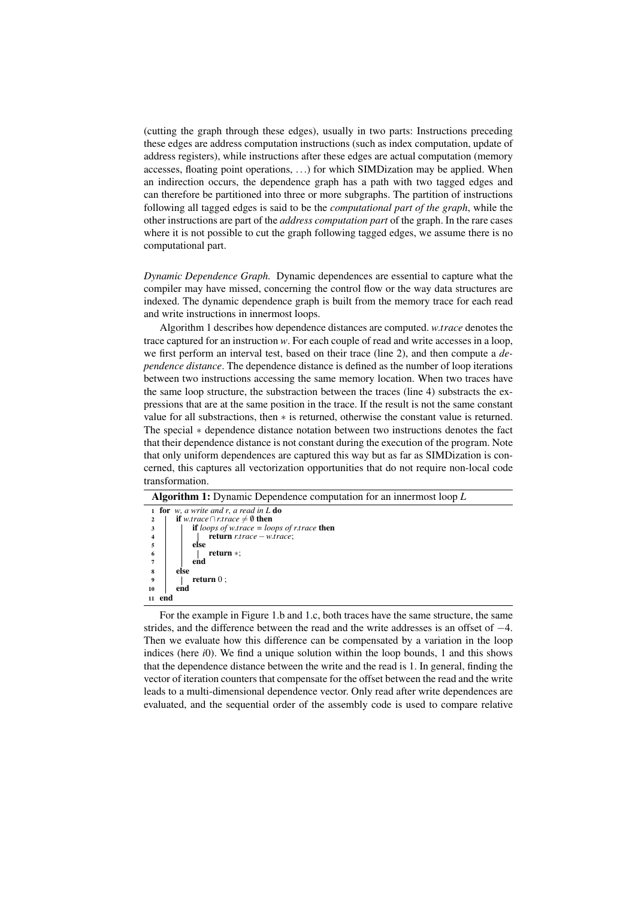(cutting the graph through these edges), usually in two parts: Instructions preceding these edges are address computation instructions (such as index computation, update of address registers), while instructions after these edges are actual computation (memory accesses, floating point operations, ...) for which SIMDization may be applied. When an indirection occurs, the dependence graph has a path with two tagged edges and can therefore be partitioned into three or more subgraphs. The partition of instructions following all tagged edges is said to be the *computational part of the graph*, while the other instructions are part of the *address computation part* of the graph. In the rare cases where it is not possible to cut the graph following tagged edges, we assume there is no computational part.

*Dynamic Dependence Graph.* Dynamic dependences are essential to capture what the compiler may have missed, concerning the control flow or the way data structures are indexed. The dynamic dependence graph is built from the memory trace for each read and write instructions in innermost loops.

Algorithm 1 describes how dependence distances are computed. *w*.*trace* denotes the trace captured for an instruction *w*. For each couple of read and write accesses in a loop, we first perform an interval test, based on their trace (line 2), and then compute a *dependence distance*. The dependence distance is defined as the number of loop iterations between two instructions accessing the same memory location. When two traces have the same loop structure, the substraction between the traces (line 4) substracts the expressions that are at the same position in the trace. If the result is not the same constant value for all substractions, then ∗ is returned, otherwise the constant value is returned. The special ∗ dependence distance notation between two instructions denotes the fact that their dependence distance is not constant during the execution of the program. Note that only uniform dependences are captured this way but as far as SIMDization is concerned, this captures all vectorization opportunities that do not require non-local code transformation.

| <b>Algorithm 1:</b> Dynamic Dependence computation for an innermost loop $L$                               |  |  |
|------------------------------------------------------------------------------------------------------------|--|--|
| 1 for $w$ , a write and r, a read in $L$ do<br><b>if</b> w.trace $\cap$ r.trace $\neq \emptyset$ then<br>2 |  |  |
| <b>if</b> loops of w.trace = loops of r.trace <b>then</b><br>3                                             |  |  |
| return $r$ <i>trace</i> $-w$ <i>trace</i> ;<br>4                                                           |  |  |
| else<br>5                                                                                                  |  |  |
| return $\ast$ :<br>6                                                                                       |  |  |
| end                                                                                                        |  |  |
| else<br>8                                                                                                  |  |  |
| return $0$ :<br>9                                                                                          |  |  |
| end<br>10                                                                                                  |  |  |
| 11 end                                                                                                     |  |  |

For the example in Figure 1.b and 1.c, both traces have the same structure, the same strides, and the difference between the read and the write addresses is an offset of −4. Then we evaluate how this difference can be compensated by a variation in the loop indices (here *i*0). We find a unique solution within the loop bounds, 1 and this shows that the dependence distance between the write and the read is 1. In general, finding the vector of iteration counters that compensate for the offset between the read and the write leads to a multi-dimensional dependence vector. Only read after write dependences are evaluated, and the sequential order of the assembly code is used to compare relative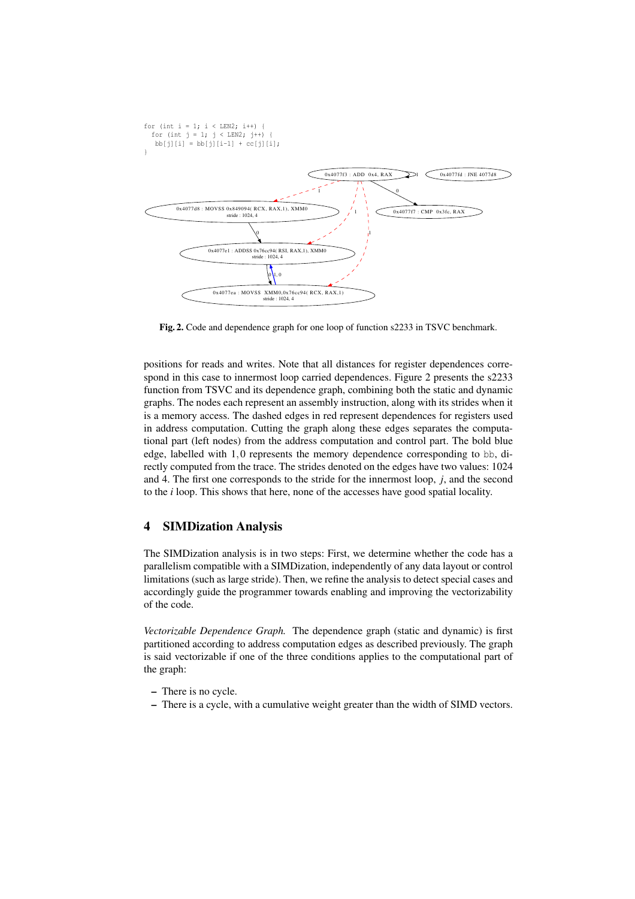

Fig. 2. Code and dependence graph for one loop of function s2233 in TSVC benchmark.

positions for reads and writes. Note that all distances for register dependences correspond in this case to innermost loop carried dependences. Figure 2 presents the s2233 function from TSVC and its dependence graph, combining both the static and dynamic graphs. The nodes each represent an assembly instruction, along with its strides when it is a memory access. The dashed edges in red represent dependences for registers used in address computation. Cutting the graph along these edges separates the computational part (left nodes) from the address computation and control part. The bold blue edge, labelled with 1,0 represents the memory dependence corresponding to bb, directly computed from the trace. The strides denoted on the edges have two values: 1024 and 4. The first one corresponds to the stride for the innermost loop, *j*, and the second to the *i* loop. This shows that here, none of the accesses have good spatial locality.

#### 4 SIMDization Analysis

The SIMDization analysis is in two steps: First, we determine whether the code has a parallelism compatible with a SIMDization, independently of any data layout or control limitations (such as large stride). Then, we refine the analysis to detect special cases and accordingly guide the programmer towards enabling and improving the vectorizability of the code.

*Vectorizable Dependence Graph.* The dependence graph (static and dynamic) is first partitioned according to address computation edges as described previously. The graph is said vectorizable if one of the three conditions applies to the computational part of the graph:

- There is no cycle.
- There is a cycle, with a cumulative weight greater than the width of SIMD vectors.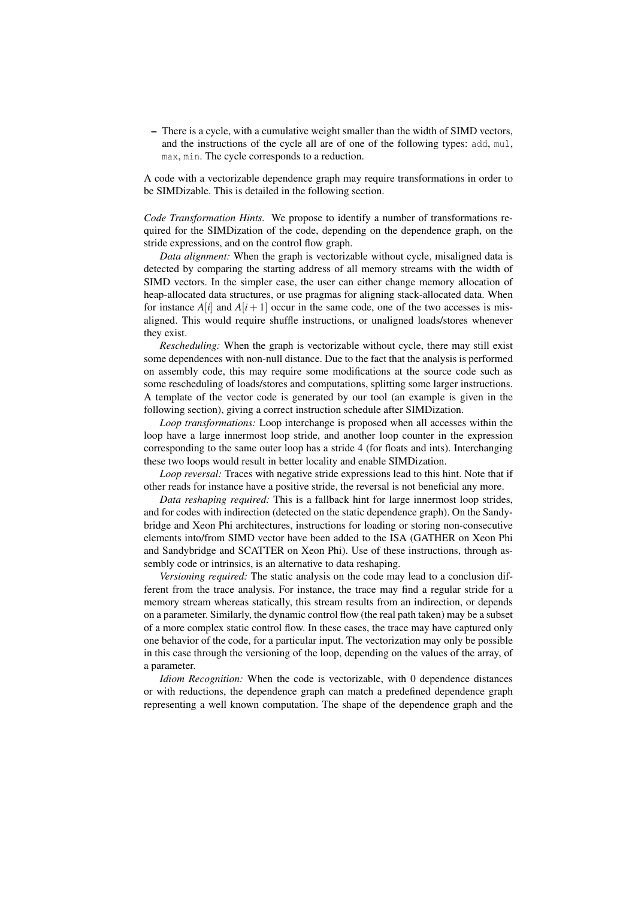– There is a cycle, with a cumulative weight smaller than the width of SIMD vectors, and the instructions of the cycle all are of one of the following types: add, mul, max, min. The cycle corresponds to a reduction.

A code with a vectorizable dependence graph may require transformations in order to be SIMDizable. This is detailed in the following section.

*Code Transformation Hints.* We propose to identify a number of transformations required for the SIMDization of the code, depending on the dependence graph, on the stride expressions, and on the control flow graph.

*Data alignment:* When the graph is vectorizable without cycle, misaligned data is detected by comparing the starting address of all memory streams with the width of SIMD vectors. In the simpler case, the user can either change memory allocation of heap-allocated data structures, or use pragmas for aligning stack-allocated data. When for instance  $A[i]$  and  $A[i+1]$  occur in the same code, one of the two accesses is misaligned. This would require shuffle instructions, or unaligned loads/stores whenever they exist.

*Rescheduling:* When the graph is vectorizable without cycle, there may still exist some dependences with non-null distance. Due to the fact that the analysis is performed on assembly code, this may require some modifications at the source code such as some rescheduling of loads/stores and computations, splitting some larger instructions. A template of the vector code is generated by our tool (an example is given in the following section), giving a correct instruction schedule after SIMDization.

*Loop transformations:* Loop interchange is proposed when all accesses within the loop have a large innermost loop stride, and another loop counter in the expression corresponding to the same outer loop has a stride 4 (for floats and ints). Interchanging these two loops would result in better locality and enable SIMDization.

*Loop reversal:* Traces with negative stride expressions lead to this hint. Note that if other reads for instance have a positive stride, the reversal is not beneficial any more.

*Data reshaping required:* This is a fallback hint for large innermost loop strides, and for codes with indirection (detected on the static dependence graph). On the Sandybridge and Xeon Phi architectures, instructions for loading or storing non-consecutive elements into/from SIMD vector have been added to the ISA (GATHER on Xeon Phi and Sandybridge and SCATTER on Xeon Phi). Use of these instructions, through assembly code or intrinsics, is an alternative to data reshaping.

*Versioning required:* The static analysis on the code may lead to a conclusion different from the trace analysis. For instance, the trace may find a regular stride for a memory stream whereas statically, this stream results from an indirection, or depends on a parameter. Similarly, the dynamic control flow (the real path taken) may be a subset of a more complex static control flow. In these cases, the trace may have captured only one behavior of the code, for a particular input. The vectorization may only be possible in this case through the versioning of the loop, depending on the values of the array, of a parameter.

*Idiom Recognition:* When the code is vectorizable, with 0 dependence distances or with reductions, the dependence graph can match a predefined dependence graph representing a well known computation. The shape of the dependence graph and the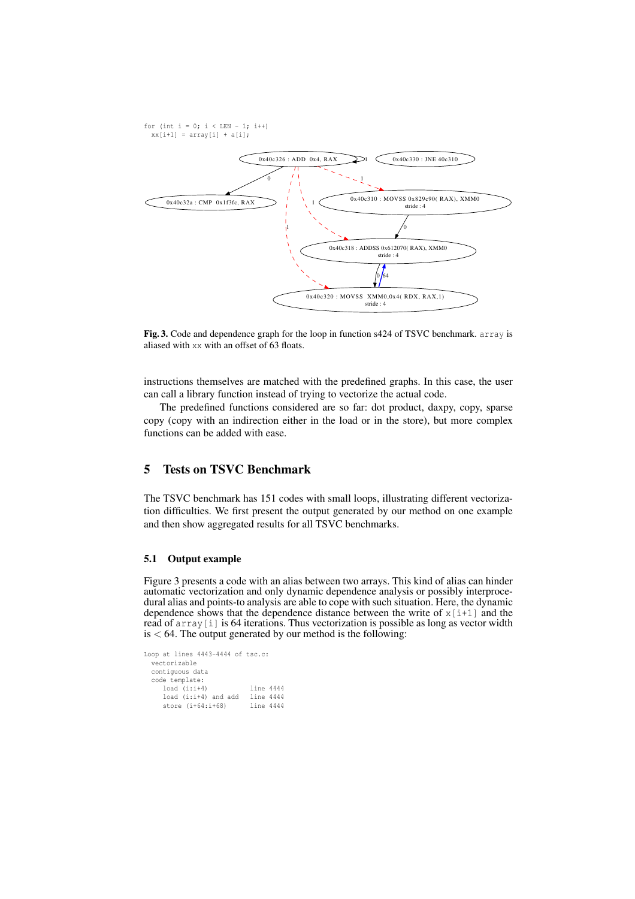

Fig. 3. Code and dependence graph for the loop in function s424 of TSVC benchmark. array is aliased with xx with an offset of 63 floats.

instructions themselves are matched with the predefined graphs. In this case, the user can call a library function instead of trying to vectorize the actual code.

The predefined functions considered are so far: dot product, daxpy, copy, sparse copy (copy with an indirection either in the load or in the store), but more complex functions can be added with ease.

# 5 Tests on TSVC Benchmark

The TSVC benchmark has 151 codes with small loops, illustrating different vectorization difficulties. We first present the output generated by our method on one example and then show aggregated results for all TSVC benchmarks.

#### 5.1 Output example

Figure 3 presents a code with an alias between two arrays. This kind of alias can hinder automatic vectorization and only dynamic dependence analysis or possibly interprocedural alias and points-to analysis are able to cope with such situation. Here, the dynamic dependence shows that the dependence distance between the write of  $x[i+1]$  and the read of array[i] is 64 iterations. Thus vectorization is possible as long as vector width  $is < 64$ . The output generated by our method is the following:

```
Loop at lines 4443-4444 of tsc.c:
vectorizable
  contiguous data
  code template:<br>load (i:i+4)
                                           \begin{tabular}{ll} line & 4444 \\ line & 4444 \end{tabular}load (i:i+4) and add
       store (i+64:i+68) line 4444
```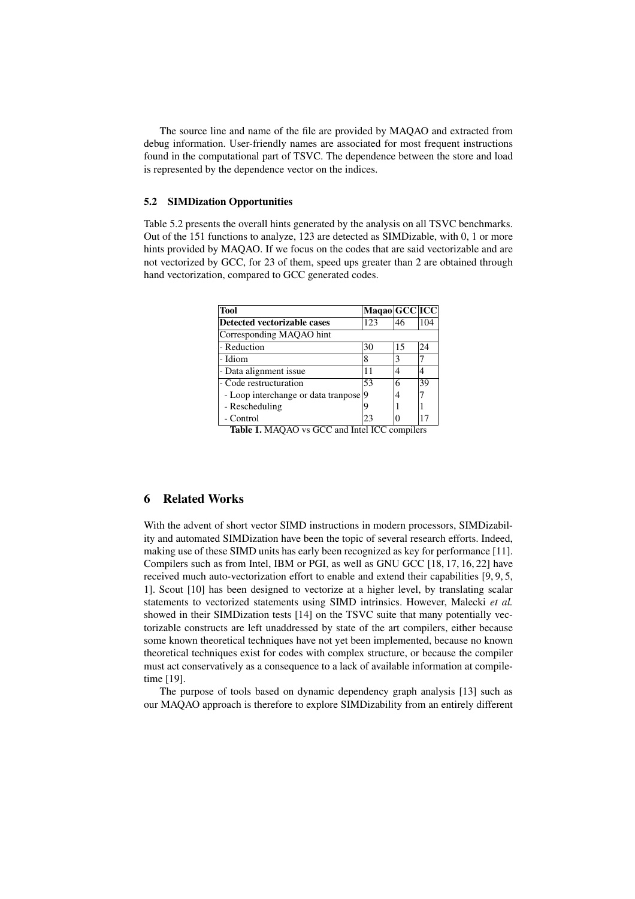The source line and name of the file are provided by MAQAO and extracted from debug information. User-friendly names are associated for most frequent instructions found in the computational part of TSVC. The dependence between the store and load is represented by the dependence vector on the indices.

#### 5.2 SIMDization Opportunities

Table 5.2 presents the overall hints generated by the analysis on all TSVC benchmarks. Out of the 151 functions to analyze, 123 are detected as SIMDizable, with 0, 1 or more hints provided by MAQAO. If we focus on the codes that are said vectorizable and are not vectorized by GCC, for 23 of them, speed ups greater than 2 are obtained through hand vectorization, compared to GCC generated codes.

| <b>Tool</b>                            | Maqao GCC ICC |    |     |  |
|----------------------------------------|---------------|----|-----|--|
| Detected vectorizable cases            | 123           | 46 | 104 |  |
| Corresponding MAQAO hint               |               |    |     |  |
| - Reduction                            | 30            | 15 | 24  |  |
| - Idiom                                | 8             | 3  |     |  |
| - Data alignment issue                 | 11            |    |     |  |
| - Code restructuration                 | 53            | 6  | 39  |  |
| - Loop interchange or data transpose 9 |               |    |     |  |
| - Rescheduling                         |               |    |     |  |
| - Control                              | 23            |    | 17  |  |

Table 1. MAQAO vs GCC and Intel ICC compilers

## 6 Related Works

With the advent of short vector SIMD instructions in modern processors, SIMDizability and automated SIMDization have been the topic of several research efforts. Indeed, making use of these SIMD units has early been recognized as key for performance [11]. Compilers such as from Intel, IBM or PGI, as well as GNU GCC [18, 17, 16, 22] have received much auto-vectorization effort to enable and extend their capabilities [9, 9, 5, 1]. Scout [10] has been designed to vectorize at a higher level, by translating scalar statements to vectorized statements using SIMD intrinsics. However, Malecki *et al.* showed in their SIMDization tests [14] on the TSVC suite that many potentially vectorizable constructs are left unaddressed by state of the art compilers, either because some known theoretical techniques have not yet been implemented, because no known theoretical techniques exist for codes with complex structure, or because the compiler must act conservatively as a consequence to a lack of available information at compiletime [19].

The purpose of tools based on dynamic dependency graph analysis [13] such as our MAQAO approach is therefore to explore SIMDizability from an entirely different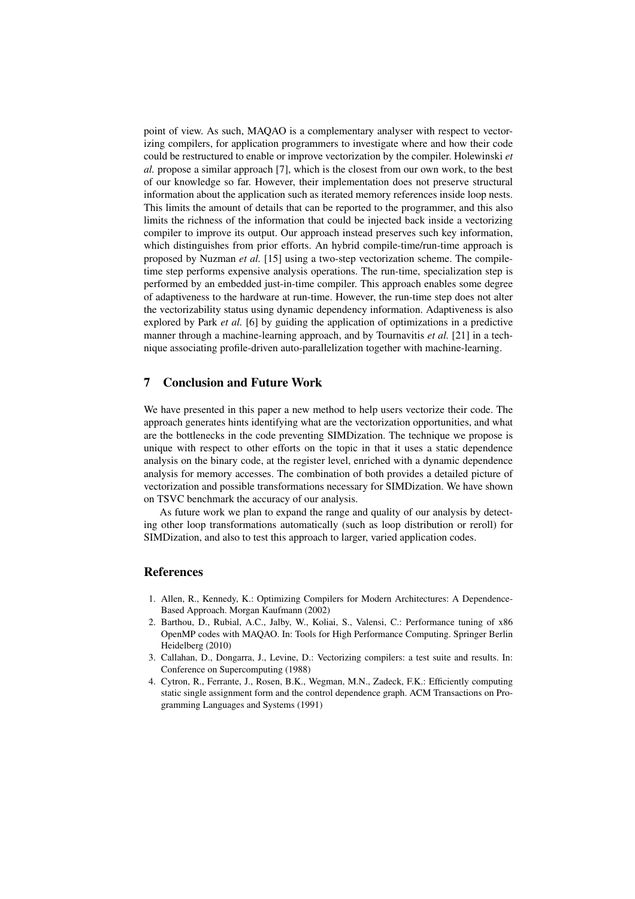point of view. As such, MAQAO is a complementary analyser with respect to vectorizing compilers, for application programmers to investigate where and how their code could be restructured to enable or improve vectorization by the compiler. Holewinski *et al.* propose a similar approach [7], which is the closest from our own work, to the best of our knowledge so far. However, their implementation does not preserve structural information about the application such as iterated memory references inside loop nests. This limits the amount of details that can be reported to the programmer, and this also limits the richness of the information that could be injected back inside a vectorizing compiler to improve its output. Our approach instead preserves such key information, which distinguishes from prior efforts. An hybrid compile-time/run-time approach is proposed by Nuzman *et al.* [15] using a two-step vectorization scheme. The compiletime step performs expensive analysis operations. The run-time, specialization step is performed by an embedded just-in-time compiler. This approach enables some degree of adaptiveness to the hardware at run-time. However, the run-time step does not alter the vectorizability status using dynamic dependency information. Adaptiveness is also explored by Park *et al.* [6] by guiding the application of optimizations in a predictive manner through a machine-learning approach, and by Tournavitis *et al.* [21] in a technique associating profile-driven auto-parallelization together with machine-learning.

### 7 Conclusion and Future Work

We have presented in this paper a new method to help users vectorize their code. The approach generates hints identifying what are the vectorization opportunities, and what are the bottlenecks in the code preventing SIMDization. The technique we propose is unique with respect to other efforts on the topic in that it uses a static dependence analysis on the binary code, at the register level, enriched with a dynamic dependence analysis for memory accesses. The combination of both provides a detailed picture of vectorization and possible transformations necessary for SIMDization. We have shown on TSVC benchmark the accuracy of our analysis.

As future work we plan to expand the range and quality of our analysis by detecting other loop transformations automatically (such as loop distribution or reroll) for SIMDization, and also to test this approach to larger, varied application codes.

#### References

- 1. Allen, R., Kennedy, K.: Optimizing Compilers for Modern Architectures: A Dependence-Based Approach. Morgan Kaufmann (2002)
- 2. Barthou, D., Rubial, A.C., Jalby, W., Koliai, S., Valensi, C.: Performance tuning of x86 OpenMP codes with MAQAO. In: Tools for High Performance Computing. Springer Berlin Heidelberg (2010)
- 3. Callahan, D., Dongarra, J., Levine, D.: Vectorizing compilers: a test suite and results. In: Conference on Supercomputing (1988)
- 4. Cytron, R., Ferrante, J., Rosen, B.K., Wegman, M.N., Zadeck, F.K.: Efficiently computing static single assignment form and the control dependence graph. ACM Transactions on Programming Languages and Systems (1991)